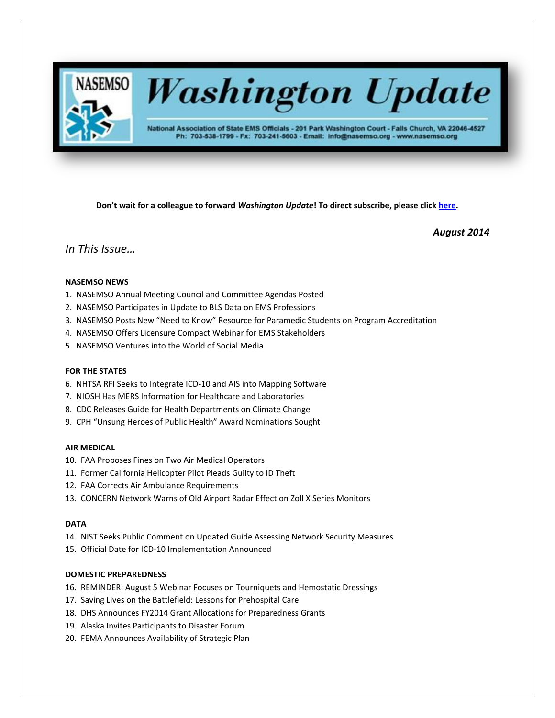

# **Washington Update**

National Association of State EMS Officials - 201 Park Washington Court - Falls Church, VA 22046-4527 Ph: 703-538-1799 - Fx: 703-241-5603 - Email: info@nasemso.org - www.nasemso.org

**Don't wait for a colleague to forward** *Washington Update***! To direct subscribe, please click [here.](http://lists.nasemso.org/read/all_forums/subscribe?name=wu%20)**

*August 2014*

## *In This Issue…*

## **NASEMSO NEWS**

- 1. NASEMSO Annual Meeting Council and Committee Agendas Posted
- 2. NASEMSO Participates in Update to BLS Data on EMS Professions
- 3. NASEMSO Posts New "Need to Know" Resource for Paramedic Students on Program Accreditation
- 4. NASEMSO Offers Licensure Compact Webinar for EMS Stakeholders
- 5. NASEMSO Ventures into the World of Social Media

#### **FOR THE STATES**

- 6. NHTSA RFI Seeks to Integrate ICD-10 and AIS into Mapping Software
- 7. NIOSH Has MERS Information for Healthcare and Laboratories
- 8. CDC Releases Guide for Health Departments on Climate Change
- 9. CPH "Unsung Heroes of Public Health" Award Nominations Sought

#### **AIR MEDICAL**

- 10. FAA Proposes Fines on Two Air Medical Operators
- 11. Former California Helicopter Pilot Pleads Guilty to ID Theft
- 12. FAA Corrects Air Ambulance Requirements
- 13. CONCERN Network Warns of Old Airport Radar Effect on Zoll X Series Monitors

#### **DATA**

- 14. NIST Seeks Public Comment on Updated Guide Assessing Network Security Measures
- 15. Official Date for ICD-10 Implementation Announced

## **DOMESTIC PREPAREDNESS**

- 16. REMINDER: August 5 Webinar Focuses on Tourniquets and Hemostatic Dressings
- 17. Saving Lives on the Battlefield: Lessons for Prehospital Care
- 18. DHS Announces FY2014 Grant Allocations for Preparedness Grants
- 19. Alaska Invites Participants to Disaster Forum
- 20. FEMA Announces Availability of Strategic Plan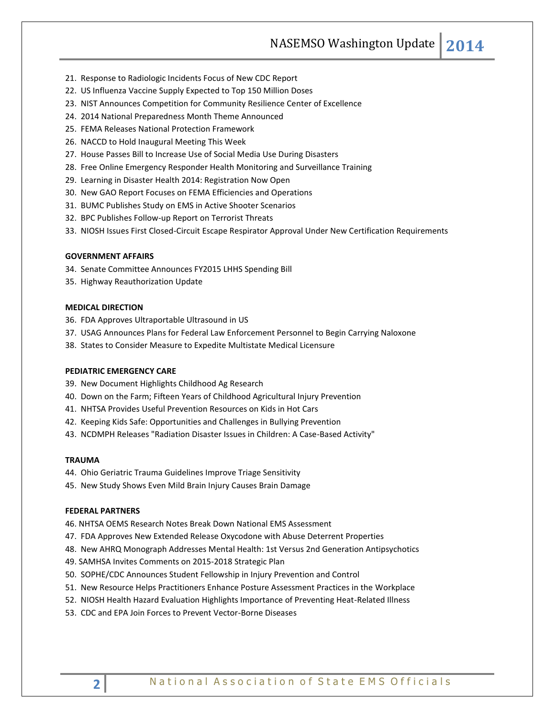NASEMSO Washington Update **2014**

- 21. Response to Radiologic Incidents Focus of New CDC Report
- 22. US Influenza Vaccine Supply Expected to Top 150 Million Doses
- 23. NIST Announces Competition for Community Resilience Center of Excellence
- 24. 2014 National Preparedness Month Theme Announced
- 25. FEMA Releases National Protection Framework
- 26. NACCD to Hold Inaugural Meeting This Week
- 27. House Passes Bill to Increase Use of Social Media Use During Disasters
- 28. Free Online Emergency Responder Health Monitoring and Surveillance Training
- 29. Learning in Disaster Health 2014: Registration Now Open
- 30. New GAO Report Focuses on FEMA Efficiencies and Operations
- 31. BUMC Publishes Study on EMS in Active Shooter Scenarios
- 32. BPC Publishes Follow-up Report on Terrorist Threats
- 33. NIOSH Issues First Closed-Circuit Escape Respirator Approval Under New Certification Requirements

#### **GOVERNMENT AFFAIRS**

- 34. Senate Committee Announces FY2015 LHHS Spending Bill
- 35. Highway Reauthorization Update

#### **MEDICAL DIRECTION**

- 36. FDA Approves Ultraportable Ultrasound in US
- 37. USAG Announces Plans for Federal Law Enforcement Personnel to Begin Carrying Naloxone
- 38. States to Consider Measure to Expedite Multistate Medical Licensure

#### **PEDIATRIC EMERGENCY CARE**

- 39. New Document Highlights Childhood Ag Research
- 40. Down on the Farm; Fifteen Years of Childhood Agricultural Injury Prevention
- 41. NHTSA Provides Useful Prevention Resources on Kids in Hot Cars
- 42. Keeping Kids Safe: Opportunities and Challenges in Bullying Prevention
- 43. NCDMPH Releases "Radiation Disaster Issues in Children: A Case-Based Activity"

#### **TRAUMA**

- 44. Ohio Geriatric Trauma Guidelines Improve Triage Sensitivity
- 45. New Study Shows Even Mild Brain Injury Causes Brain Damage

#### **FEDERAL PARTNERS**

46. NHTSA OEMS Research Notes Break Down National EMS Assessment

- 47. FDA Approves New Extended Release Oxycodone with Abuse Deterrent Properties
- 48. New AHRQ Monograph Addresses Mental Health: 1st Versus 2nd Generation Antipsychotics
- 49. SAMHSA Invites Comments on 2015-2018 Strategic Plan
- 50. SOPHE/CDC Announces Student Fellowship in Injury Prevention and Control
- 51. New Resource Helps Practitioners Enhance Posture Assessment Practices in the Workplace
- 52. NIOSH Health Hazard Evaluation Highlights Importance of Preventing Heat-Related Illness
- 53. CDC and EPA Join Forces to Prevent Vector-Borne Diseases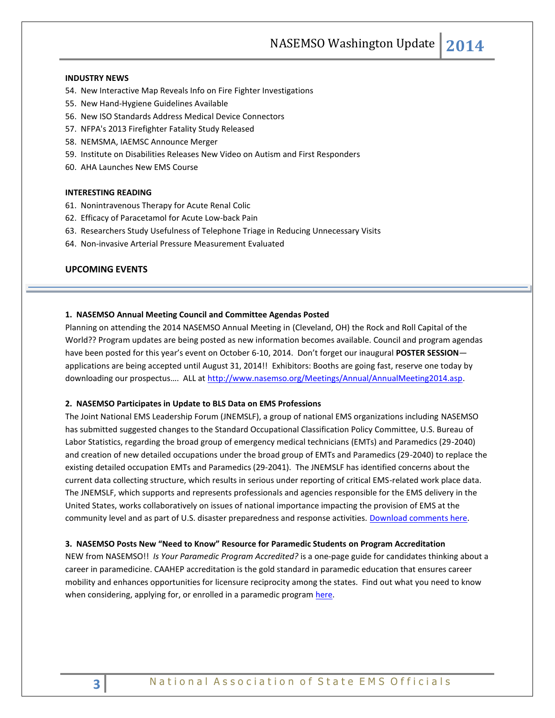NASEMSO Washington Update **2014**

#### **INDUSTRY NEWS**

- 54. New Interactive Map Reveals Info on Fire Fighter Investigations
- 55. New Hand-Hygiene Guidelines Available
- 56. New ISO Standards Address Medical Device Connectors
- 57. NFPA's 2013 Firefighter Fatality Study Released
- 58. NEMSMA, IAEMSC Announce Merger
- 59. Institute on Disabilities Releases New Video on Autism and First Responders
- 60. AHA Launches New EMS Course

## **INTERESTING READING**

- 61. Nonintravenous Therapy for Acute Renal Colic
- 62. Efficacy of Paracetamol for Acute Low-back Pain
- 63. Researchers Study Usefulness of Telephone Triage in Reducing Unnecessary Visits
- 64. Non-invasive Arterial Pressure Measurement Evaluated

## **UPCOMING EVENTS**

#### **1. NASEMSO Annual Meeting Council and Committee Agendas Posted**

Planning on attending the 2014 NASEMSO Annual Meeting in (Cleveland, OH) the Rock and Roll Capital of the World?? Program updates are being posted as new information becomes available. Council and program agendas have been posted for this year's event on October 6-10, 2014. Don't forget our inaugural **POSTER SESSION** applications are being accepted until August 31, 2014!! Exhibitors: Booths are going fast, reserve one today by downloading our prospectus.... ALL at [http://www.nasemso.org/Meetings/Annual/AnnualMeeting2014.asp.](http://www.nasemso.org/Meetings/Annual/AnnualMeeting2014.asp)

#### **2. NASEMSO Participates in Update to BLS Data on EMS Professions**

The Joint National EMS Leadership Forum (JNEMSLF), a group of national EMS organizations including NASEMSO has submitted suggested changes to the Standard Occupational Classification Policy Committee, U.S. Bureau of Labor Statistics, regarding the broad group of emergency medical technicians (EMTs) and Paramedics (29-2040) and creation of new detailed occupations under the broad group of EMTs and Paramedics (29-2040) to replace the existing detailed occupation EMTs and Paramedics (29-2041). The JNEMSLF has identified concerns about the current data collecting structure, which results in serious under reporting of critical EMS-related work place data. The JNEMSLF, which supports and represents professionals and agencies responsible for the EMS delivery in the United States, works collaboratively on issues of national importance impacting the provision of EMS at the community level and as part of U.S. disaster preparedness and response activities. [Download comments here.](http://www.nasemso.org/Advocacy/Supported/documents/JNEMSLF-Letter-to-SOCPC-21July2014.pdf)

#### **3. NASEMSO Posts New "Need to Know" Resource for Paramedic Students on Program Accreditation**

NEW from NASEMSO!! *Is Your Paramedic Program Accredited?* is a one-page guide for candidates thinking about a career in paramedicine. CAAHEP accreditation is the gold standard in paramedic education that ensures career mobility and enhances opportunities for licensure reciprocity among the states. Find out what you need to know when considering, applying for, or enrolled in a paramedic program [here.](http://nasemso.org/EMSEducationImplementationPlanning/Toolkit.asp)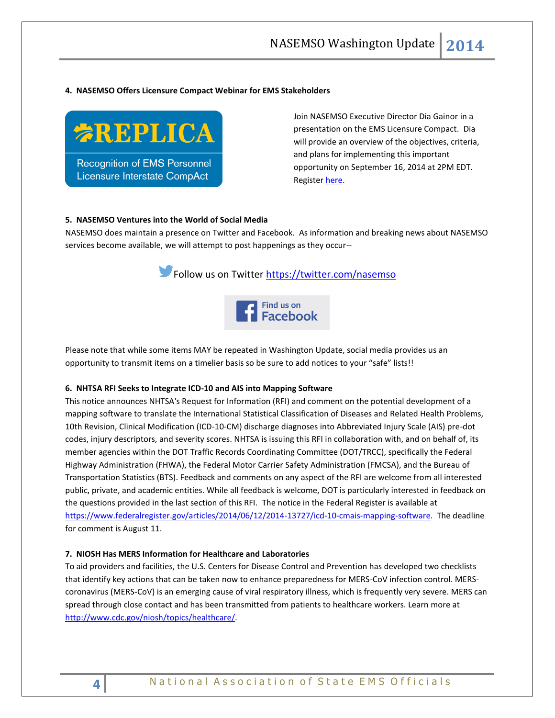#### **4. NASEMSO Offers Licensure Compact Webinar for EMS Stakeholders**



Join NASEMSO Executive Director Dia Gainor in a presentation on the EMS Licensure Compact. Dia will provide an overview of the objectives, criteria, and plans for implementing this important opportunity on September 16, 2014 at 2PM EDT. Registe[r here.](https://www2.gotomeeting.com/register/379618442)

#### **5. NASEMSO Ventures into the World of Social Media**

NASEMSO does maintain a presence on Twitter and Facebook. As information and breaking news about NASEMSO services become available, we will attempt to post happenings as they occur--





Please note that while some items MAY be repeated in Washington Update, social media provides us an opportunity to transmit items on a timelier basis so be sure to add notices to your "safe" lists!!

#### **6. NHTSA RFI Seeks to Integrate ICD-10 and AIS into Mapping Software**

This notice announces NHTSA's Request for Information (RFI) and comment on the potential development of a mapping software to translate the International Statistical Classification of Diseases and Related Health Problems, 10th Revision, Clinical Modification (ICD-10-CM) discharge diagnoses into Abbreviated Injury Scale (AIS) pre-dot codes, injury descriptors, and severity scores. NHTSA is issuing this RFI in collaboration with, and on behalf of, its member agencies within the DOT Traffic Records Coordinating Committee (DOT/TRCC), specifically the Federal Highway Administration (FHWA), the Federal Motor Carrier Safety Administration (FMCSA), and the Bureau of Transportation Statistics (BTS). Feedback and comments on any aspect of the RFI are welcome from all interested public, private, and academic entities. While all feedback is welcome, DOT is particularly interested in feedback on the questions provided in the last section of this RFI. The notice in the Federal Register is available at [https://www.federalregister.gov/articles/2014/06/12/2014-13727/icd-10-cmais-mapping-software.](https://www.federalregister.gov/articles/2014/06/12/2014-13727/icd-10-cmais-mapping-software) The deadline for comment is August 11.

## **7. NIOSH Has MERS Information for Healthcare and Laboratories**

To aid providers and facilities, the U.S. Centers for Disease Control and Prevention has developed two checklists that identify key actions that can be taken now to enhance preparedness for MERS-CoV infection control. MERScoronavirus (MERS-CoV) is an emerging cause of viral respiratory illness, which is frequently very severe. MERS can spread through close contact and has been transmitted from patients to healthcare workers. Learn more at [http://www.cdc.gov/niosh/topics/healthcare/.](http://links.govdelivery.com/track?type=click&enid=ZWFzPTEmbWFpbGluZ2lkPTIwMTQwNjA1LjMyODI0NjgxJm1lc3NhZ2VpZD1NREItUFJELUJVTC0yMDE0MDYwNS4zMjgyNDY4MSZkYXRhYmFzZWlkPTEwMDEmc2VyaWFsPTE2ODQzOTUyJmVtYWlsaWQ9cm9iaW5zb25AbmFzZW1zby5vcmcmdXNlcmlkPXJvYmluc29uQG5hc2Vtc28ub3JnJmZsPSZleHRyYT1NdWx0aXZhcmlhdGVJZD0mJiY=&&&106&&&http://www.cdc.gov/niosh/topics/healthcare/)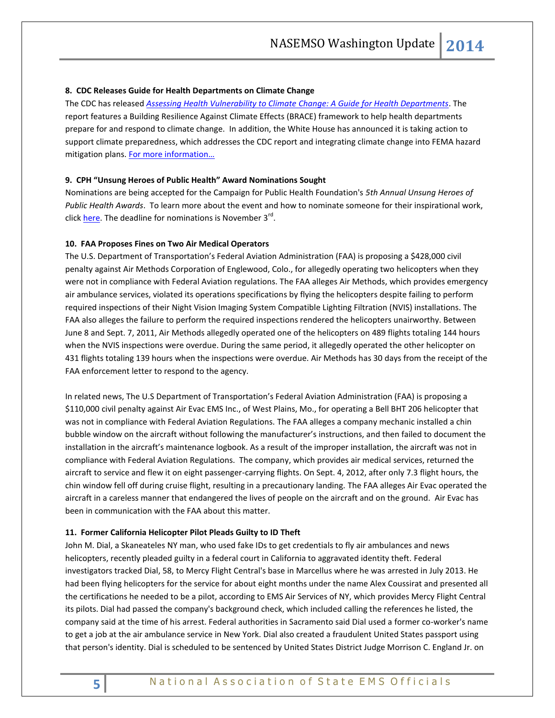#### **8. CDC Releases Guide for Health Departments on Climate Change**

The CDC has released *[Assessing Health Vulnerability to Climate Change: A Guide for Health Departments](http://www.cdc.gov/climateandhealth/pubs/AssessingHealthVulnerabilitytoClimateChange.pdf)*. The report features a Building Resilience Against Climate Effects (BRACE) framework to help health departments prepare for and respond to climate change. In addition, the White House has announced it is taking action to support climate preparedness, which addresses the CDC report and integrating climate change into FEMA hazard mitigation plans. For more information...

#### **9. CPH "Unsung Heroes of Public Health" Award Nominations Sought**

Nominations are being accepted for the Campaign for Public Health Foundation's *5th Annual Unsung Heroes of Public Health Awards*. To learn more about the event and how to nominate someone for their inspirational work, click **here**. The deadline for nominations is November 3<sup>rd</sup>.

#### **10. FAA Proposes Fines on Two Air Medical Operators**

The U.S. Department of Transportation's Federal Aviation Administration (FAA) is proposing a \$428,000 civil penalty against Air Methods Corporation of Englewood, Colo., for allegedly operating two helicopters when they were not in compliance with Federal Aviation regulations. The FAA alleges Air Methods, which provides emergency air ambulance services, violated its operations specifications by flying the helicopters despite failing to perform required inspections of their Night Vision Imaging System Compatible Lighting Filtration (NVIS) installations. The FAA also alleges the failure to perform the required inspections rendered the helicopters unairworthy. Between June 8 and Sept. 7, 2011, Air Methods allegedly operated one of the helicopters on 489 flights totaling 144 hours when the NVIS inspections were overdue. During the same period, it allegedly operated the other helicopter on 431 flights totaling 139 hours when the inspections were overdue. Air Methods has 30 days from the receipt of the FAA enforcement letter to respond to the agency.

In related news, The U.S Department of Transportation's Federal Aviation Administration (FAA) is proposing a \$110,000 civil penalty against Air Evac EMS Inc., of West Plains, Mo., for operating a Bell BHT 206 helicopter that was not in compliance with Federal Aviation Regulations. The FAA alleges a company mechanic installed a chin bubble window on the aircraft without following the manufacturer's instructions, and then failed to document the installation in the aircraft's maintenance logbook. As a result of the improper installation, the aircraft was not in compliance with Federal Aviation Regulations. The company, which provides air medical services, returned the aircraft to service and flew it on eight passenger-carrying flights. On Sept. 4, 2012, after only 7.3 flight hours, the chin window fell off during cruise flight, resulting in a precautionary landing. The FAA alleges Air Evac operated the aircraft in a careless manner that endangered the lives of people on the aircraft and on the ground. Air Evac has been in communication with the FAA about this matter.

## **11. Former California Helicopter Pilot Pleads Guilty to ID Theft**

John M. Dial, a Skaneateles NY man, who used fake IDs to get credentials to fly air ambulances and news helicopters, recently pleaded guilty in a federal court in California to aggravated identity theft. Federal investigators tracked Dial, 58, to Mercy Flight Central's base in Marcellus where he wa[s arrested in July 2013.](http://www.syracuse.com/news/index.ssf/2013/07/fbi_arrests_mercy_flight_pilot_in_marcellus_on_charges_of_flying_uncertified.html) He had been flying helicopters for the service for about eight months under the name Alex Coussirat and presented all the certifications he needed to be a pilot, according to EMS Air Services of NY, which provides Mercy Flight Central its pilots. Dial had passed the company's background check, which included calling the references he listed, the company said at the time of his arrest. Federal authorities in Sacramento said Dial used a former co-worker's name to get a job at the air ambulance service in New York. Dial also created a fraudulent United States passport using that person's identity. Dial is scheduled to be sentenced by United States District Judge Morrison C. England Jr. on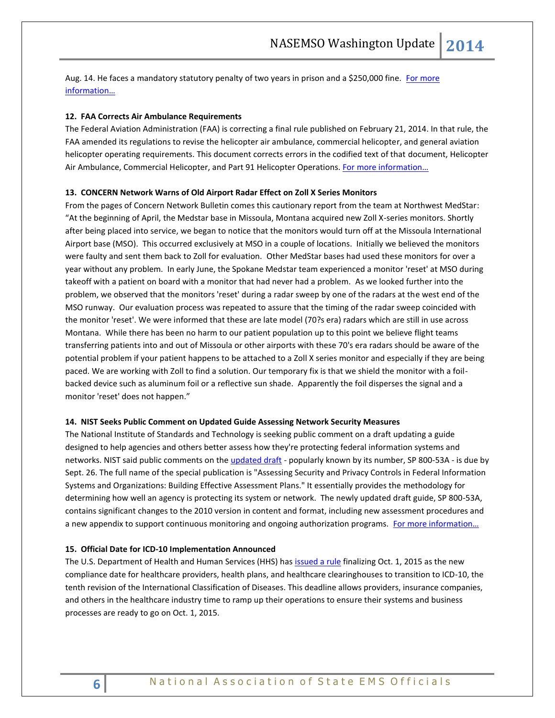Aug. 14. He faces a mandatory statutory penalty of two years in prison and a \$250,000 fine. For more [informatio](http://www.justice.gov/usao/cae/news/docs/2014/2014_07/07-31-14Dial.html)n…

#### **12. FAA Corrects Air Ambulance Requirements**

The Federal Aviation Administration (FAA) is correcting a final rule published on February 21, 2014. In that rule, the FAA amended its regulations to revise the helicopter air ambulance, commercial helicopter, and general aviation helicopter operating requirements. This document corrects errors in the codified text of that document, Helicopter Air Ambulance, Commercial Helicopter, and Part 91 Helicopter Operations. [For more information…](http://www.gpo.gov/fdsys/pkg/FR-2014-07-15/pdf/2014-16523.pdf)

#### **13. CONCERN Network Warns of Old Airport Radar Effect on Zoll X Series Monitors**

From the pages of Concern Network Bulletin comes this cautionary report from the team at Northwest MedStar: "At the beginning of April, the Medstar base in Missoula, Montana acquired new Zoll X-series monitors. Shortly after being placed into service, we began to notice that the monitors would turn off at the Missoula International Airport base (MSO). This occurred exclusively at MSO in a couple of locations. Initially we believed the monitors were faulty and sent them back to Zoll for evaluation. Other MedStar bases had used these monitors for over a year without any problem. In early June, the Spokane Medstar team experienced a monitor 'reset' at MSO during takeoff with a patient on board with a monitor that had never had a problem. As we looked further into the problem, we observed that the monitors 'reset' during a radar sweep by one of the radars at the west end of the MSO runway. Our evaluation process was repeated to assure that the timing of the radar sweep coincided with the monitor 'reset'. We were informed that these are late model (70?s era) radars which are still in use across Montana. While there has been no harm to our patient population up to this point we believe flight teams transferring patients into and out of Missoula or other airports with these 70's era radars should be aware of the potential problem if your patient happens to be attached to a Zoll X series monitor and especially if they are being paced. We are working with Zoll to find a solution. Our temporary fix is that we shield the monitor with a foilbacked device such as aluminum foil or a reflective sun shade. Apparently the foil disperses the signal and a monitor 'reset' does not happen."

#### **14. NIST Seeks Public Comment on Updated Guide Assessing Network Security Measures**

The National Institute of Standards and Technology is seeking public comment on a draft updating a guide designed to help agencies and others better assess how they're protecting federal information systems and networks. NIST said public comments on th[e updated draft](http://csrc.nist.gov/publications/PubsDrafts.html#800-53ar4) - popularly known by its number, SP 800-53A - is due by Sept. 26. The full name of the special publication is "Assessing Security and Privacy Controls in Federal Information Systems and Organizations: Building Effective Assessment Plans." It essentially provides the methodology for determining how well an agency is protecting its system or network. The newly updated draft guide, SP 800-53A, contains significant changes to the 2010 version in content and format, including new assessment procedures and a new appendix to support continuous monitoring and ongoing authorization programs. [For more information…](http://www.nist.gov/itl/csd/800-53a-080114.cfm)

#### **15. Official Date for ICD-10 Implementation Announced**

The U.S. Department of Health and Human Services (HHS) has [issued a rule](https://s3.amazonaws.com/public-inspection.federalregister.gov/2014-18347.pdf) finalizing Oct. 1, 2015 as the new compliance date for healthcare providers, health plans, and healthcare clearinghouses to transition to ICD-10, the tenth revision of the International Classification of Diseases. This deadline allows providers, insurance companies, and others in the healthcare industry time to ramp up their operations to ensure their systems and business processes are ready to go on Oct. 1, 2015.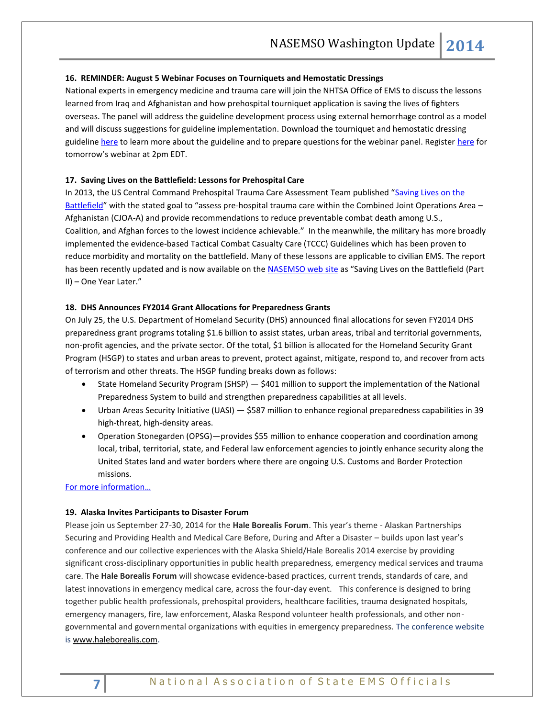#### **16. REMINDER: August 5 Webinar Focuses on Tourniquets and Hemostatic Dressings**

National experts in emergency medicine and trauma care will join the NHTSA Office of EMS to discuss the lessons learned from Iraq and Afghanistan and how prehospital tourniquet application is saving the lives of fighters overseas. The panel will address the guideline development process using external hemorrhage control as a model and will discuss suggestions for guideline implementation. Download the tourniquet and hemostatic dressing guidelin[e here](http://informahealthcare.com/toc/pec/18/2) to learn more about the guideline and to prepare questions for the webinar panel. Register [here](https://redflash.clickwebinar.com/EMSFOCUS_AUG5_EBG/register) for tomorrow's webinar at 2pm EDT.

### **17. Saving Lives on the Battlefield: Lessons for Prehospital Care**

In 2013, the US Central Command Prehospital Trauma Care Assessment Team published "[Saving Lives on the](http://rdcr.org/wp-content/uploads/2013/02/CENTCOM-Prehospital-Final-Report-130130.pdf)  [Battlefield](http://rdcr.org/wp-content/uploads/2013/02/CENTCOM-Prehospital-Final-Report-130130.pdf)" with the stated goal to "assess pre-hospital trauma care within the Combined Joint Operations Area – Afghanistan (CJOA-A) and provide recommendations to reduce preventable combat death among U.S., Coalition, and Afghan forces to the lowest incidence achievable." In the meanwhile, the military has more broadly implemented the evidence-based Tactical Combat Casualty Care (TCCC) Guidelines which has been proven to reduce morbidity and mortality on the battlefield. Many of these lessons are applicable to civilian EMS. The report has been recently updated and is now available on the [NASEMSO web site](http://www.nasemso.org/Projects/DomesticPreparedness/National-InternationalResources.asp) as "Saving Lives on the Battlefield (Part II) – One Year Later."

#### **18. DHS Announces FY2014 Grant Allocations for Preparedness Grants**

On July 25, the U.S. Department of Homeland Security (DHS) announced final allocations for seven FY2014 DHS preparedness grant programs totaling \$1.6 billion to assist states, urban areas, tribal and territorial governments, non-profit agencies, and the private sector. Of the total, \$1 billion is allocated for the Homeland Security Grant Program (HSGP) to states and urban areas to prevent, protect against, mitigate, respond to, and recover from acts of terrorism and other threats. The HSGP funding breaks down as follows:

- State Homeland Security Program (SHSP) \$401 million to support the implementation of the National Preparedness System to build and strengthen preparedness capabilities at all levels.
- Urban Areas Security Initiative (UASI) \$587 million to enhance regional preparedness capabilities in 39 high-threat, high-density areas.
- Operation Stonegarden (OPSG)—provides \$55 million to enhance cooperation and coordination among local, tribal, territorial, state, and Federal law enforcement agencies to jointly enhance security along the United States land and water borders where there are ongoing U.S. Customs and Border Protection missions.

#### [For more information…](http://www.dhs.gov/news/2014/07/25/dhs-announces-grant-allocations-fiscal-year-fy-2014-preparedness-grants)

#### **19. Alaska Invites Participants to Disaster Forum**

Please join us September 27-30, 2014 for the **Hale Borealis Forum**. This year's theme - Alaskan Partnerships Securing and Providing Health and Medical Care Before, During and After a Disaster – builds upon last year's conference and our collective experiences with the Alaska Shield/Hale Borealis 2014 exercise by providing significant cross-disciplinary opportunities in public health preparedness, emergency medical services and trauma care. The **Hale Borealis Forum** will showcase evidence-based practices, current trends, standards of care, and latest innovations in emergency medical care, across the four-day event. This conference is designed to bring together public health professionals, prehospital providers, healthcare facilities, trauma designated hospitals, emergency managers, fire, law enforcement, Alaska Respond volunteer health professionals, and other nongovernmental and governmental organizations with equities in emergency preparedness. The conference website i[s www.haleborealis.com.](http://www.haleborealis.com/)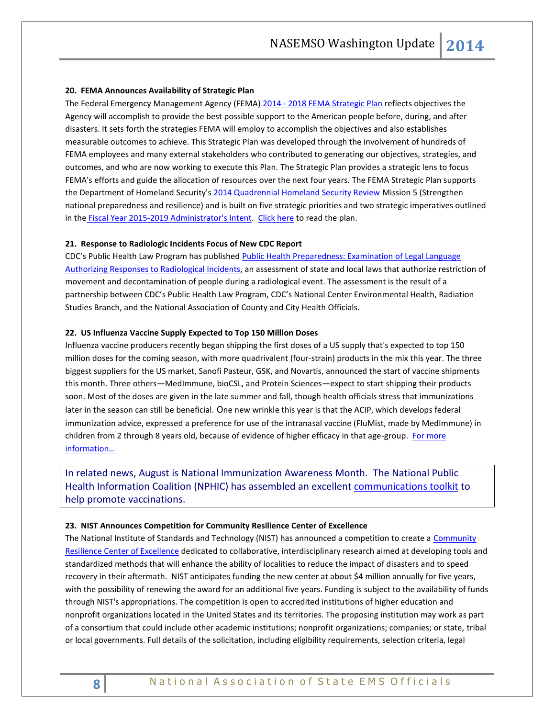#### **20. FEMA Announces Availability of Strategic Plan**

The Federal Emergency Management Agency (FEMA) 2014 - [2018 FEMA Strategic Plan](http://www.fema.gov/media-library/assets/documents/96981) reflects objectives the Agency will accomplish to provide the best possible support to the American people before, during, and after disasters. It sets forth the strategies FEMA will employ to accomplish the objectives and also establishes measurable outcomes to achieve. This Strategic Plan was developed through the involvement of hundreds of FEMA employees and many external stakeholders who contributed to generating our objectives, strategies, and outcomes, and who are now working to execute this Plan. The Strategic Plan provides a strategic lens to focus FEMA's efforts and guide the allocation of resources over the next four years. The FEMA Strategic Plan supports the Department of Homeland Security'[s 2014 Quadrennial Homeland Security Review](http://www.dhs.gov/quadrennial-homeland-security-review-qhsr) Mission 5 (Strengthen national preparedness and resilience) and is built on five strategic priorities and two strategic imperatives outlined in the [Fiscal Year 2015-2019 Administrator's Intent.](http://www.fema.gov/media-library/assets/documents/31808?id=7252) [Click here](http://www.fema.gov/media-library/assets/documents/96981) to read the plan.

## **21. Response to Radiologic Incidents Focus of New CDC Report**

CDC's Public Health Law Program has published [Public Health Preparedness: Examination of Legal Language](http://www.cdc.gov/phlp/docs/php-radioactive.pdf)  [Authorizing Responses to Radiological Incidents,](http://www.cdc.gov/phlp/docs/php-radioactive.pdf) an assessment of state and local laws that authorize restriction of movement and decontamination of people during a radiological event. The assessment is the result of a partnership between CDC's Public Health Law Program, CDC's National Center Environmental Health, Radiation Studies Branch, and the National Association of County and City Health Officials.

#### **22. US Influenza Vaccine Supply Expected to Top 150 Million Doses**

Influenza vaccine producers recently began shipping the first doses of a US supply that's expected to top 150 million doses for the coming season, with more quadrivalent (four-strain) products in the mix this year. The three biggest suppliers for the US market, Sanofi Pasteur, GSK, and Novartis, announced the start of vaccine shipments this month. Three others—MedImmune, bioCSL, and Protein Sciences—expect to start shipping their products soon. Most of the doses are given in the late summer and fall, though health officials stress that immunizations later in the season can still be beneficial. One new wrinkle this year is that the ACIP, which develops federal immunization advice, expressed a preference for use of the intranasal vaccine (FluMist, made by MedImmune) in children from 2 through 8 years old, because of evidence of higher efficacy in that age-group. [For more](http://www.cidrap.umn.edu/news-perspective/2014/07/us-flu-vaccine-supply-expected-top-150-million-doses)  [information…](http://www.cidrap.umn.edu/news-perspective/2014/07/us-flu-vaccine-supply-expected-top-150-million-doses)

In related news, August is National Immunization Awareness Month. The National Public Health Information Coalition (NPHIC) has assembled an excellent communications toolkit to help promote vaccinations.

#### **23. NIST Announces Competition for Community Resilience Center of Excellence**

The National Institute of Standards and Technology (NIST) has announced a competition to create a Community [Resilience Center of Excellence](http://www.nist.gov/coe/resilience/index.cfm) dedicated to collaborative, interdisciplinary research aimed at developing tools and standardized methods that will enhance the ability of localities to reduce the impact of disasters and to speed recovery in their aftermath. NIST anticipates funding the new center at about \$4 million annually for five years, with the possibility of renewing the award for an additional five years. Funding is subject to the availability of funds through NIST's appropriations. The competition is open to accredited institutions of higher education and nonprofit organizations located in the United States and its territories. The proposing institution may work as part of a consortium that could include other academic institutions; nonprofit organizations; companies; or state, tribal or local governments. Full details of the solicitation, including eligibility requirements, selection criteria, legal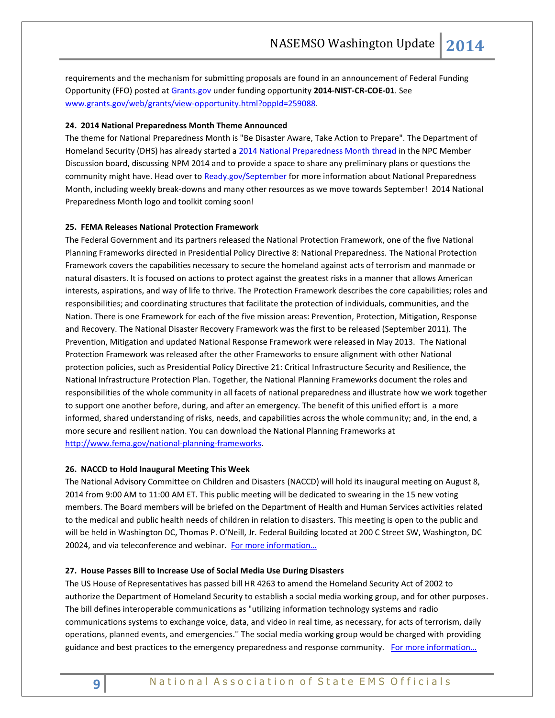requirements and the mechanism for submitting proposals are found in an announcement of Federal Funding Opportunity (FFO) posted at [Grants.gov](http://www.grants.gov/) under funding opportunity **2014-NIST-CR-COE-01**. See [www.grants.gov/web/grants/view-opportunity.html?oppId=259088.](http://www.grants.gov/web/grants/view-opportunity.html?oppId=259088)

#### **24. 2014 National Preparedness Month Theme Announced**

The theme for National Preparedness Month is "Be Disaster Aware, Take Action to Prepare". The Department of Homeland Security (DHS) has already started [a 2014 National Preparedness Month thread](http://links.govdelivery.com/track?type=click&enid=ZWFzPTEmbWFpbGluZ2lkPTIwMTQwNzMxLjM0NjI0MDExJm1lc3NhZ2VpZD1NREItUFJELUJVTC0yMDE0MDczMS4zNDYyNDAxMSZkYXRhYmFzZWlkPTEwMDEmc2VyaWFsPTE3MTM2MTAyJmVtYWlsaWQ9a3JvYmluc29uQGFzbWlpLm5ldCZ1c2VyaWQ9a3JvYmluc29uQGFzbWlpLm5ldCZmbD0mZXh0cmE9TXVsdGl2YXJpYXRlSWQ9JiYm&&&109&&&http://www.community.fema.gov/connect.ti/readynpm/view?objectId=169899) in the NPC Member Discussion board, discussing NPM 2014 and to provide a space to share any preliminary plans or questions the community might have. Head over t[o Ready.gov/September](http://links.govdelivery.com/track?type=click&enid=ZWFzPTEmbWFpbGluZ2lkPTIwMTQwNzMxLjM0NjI0MDExJm1lc3NhZ2VpZD1NREItUFJELUJVTC0yMDE0MDczMS4zNDYyNDAxMSZkYXRhYmFzZWlkPTEwMDEmc2VyaWFsPTE3MTM2MTAyJmVtYWlsaWQ9a3JvYmluc29uQGFzbWlpLm5ldCZ1c2VyaWQ9a3JvYmluc29uQGFzbWlpLm5ldCZmbD0mZXh0cmE9TXVsdGl2YXJpYXRlSWQ9JiYm&&&110&&&http://www.ready.gov/september) for more information about National Preparedness Month, including weekly break-downs and many other resources as we move towards September! 2014 National Preparedness Month logo and toolkit coming soon!

#### **25. FEMA Releases National Protection Framework**

The Federal Government and its partners released the National Protection Framework, one of the five National Planning Frameworks directed in Presidential Policy Directive 8: National Preparedness. The National Protection Framework covers the capabilities necessary to secure the homeland against acts of terrorism and manmade or natural disasters. It is focused on actions to protect against the greatest risks in a manner that allows American interests, aspirations, and way of life to thrive. The Protection Framework describes the core capabilities; roles and responsibilities; and coordinating structures that facilitate the protection of individuals, communities, and the Nation. There is one Framework for each of the five mission areas: Prevention, Protection, Mitigation, Response and Recovery. The National Disaster Recovery Framework was the first to be released (September 2011). The Prevention, Mitigation and updated National Response Framework were released in May 2013. The National Protection Framework was released after the other Frameworks to ensure alignment with other National protection policies, such as Presidential Policy Directive 21: Critical Infrastructure Security and Resilience, the National Infrastructure Protection Plan. Together, the National Planning Frameworks document the roles and responsibilities of the whole community in all facets of national preparedness and illustrate how we work together to support one another before, during, and after an emergency. The benefit of this unified effort is a more informed, shared understanding of risks, needs, and capabilities across the whole community; and, in the end, a more secure and resilient nation. You can download the National Planning Frameworks at [http://www.fema.gov/national-planning-frameworks.](http://www.fema.gov/national-planning-frameworks)

#### **26. NACCD to Hold Inaugural Meeting This Week**

The National Advisory Committee on Children and Disasters (NACCD) will hold its inaugural meeting on August 8, 2014 from 9:00 AM to 11:00 AM ET. This public meeting will be dedicated to swearing in the 15 new voting members. The Board members will be briefed on the Department of Health and Human Services activities related to the medical and public health needs of children in relation to disasters. This meeting is open to the public and will be held in Washington DC, Thomas P. O'Neill, Jr. Federal Building located at 200 C Street SW, Washington, DC 20024, and via teleconference and webinar. [For more information…](http://www.phe.gov/Preparedness/legal/boards/naccd/meetings/Pages/publicmeeting-140808.aspx)

#### **27. House Passes Bill to Increase Use of Social Media Use During Disasters**

The US House of Representatives has passed bill HR 4263 to amend the Homeland Security Act of 2002 to authorize the Department of Homeland Security to establish a social media working group, and for other purposes. The bill defines interoperable communications as "utilizing information technology systems and radio communications systems to exchange voice, data, and video in real time, as necessary, for acts of terrorism, daily operations, planned events, and emergencies.'' The social media working group would be charged with providing guidance and best practices to the emergency preparedness and response community. For more information...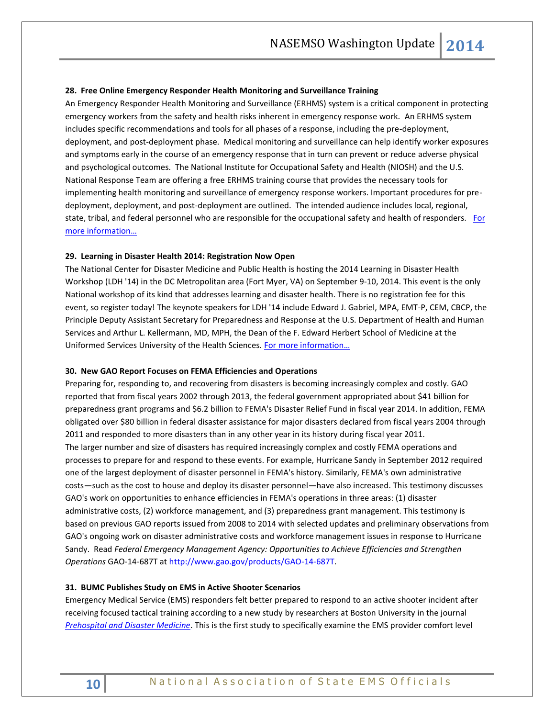#### **28. Free Online Emergency Responder Health Monitoring and Surveillance Training**

An Emergency Responder Health Monitoring and Surveillance (ERHMS) system is a critical component in protecting emergency workers from the safety and health risks inherent in emergency response work. An ERHMS system includes specific recommendations and tools for all phases of a response, including the pre-deployment, deployment, and post-deployment phase. Medical monitoring and surveillance can help identify worker exposures and symptoms early in the course of an emergency response that in turn can prevent or reduce adverse physical and psychological outcomes. The National Institute for Occupational Safety and Health (NIOSH) and the U.S. National Response Team are offering a free ERHMS training course that provides the necessary tools for implementing health monitoring and surveillance of emergency response workers. Important procedures for predeployment, deployment, and post-deployment are outlined. The intended audience includes local, regional, state, tribal, and federal personnel who are responsible for the occupational safety and health of responders. For [more information…](http://blogs.cdc.gov/niosh-science-blog/2014/07/29/erhms-trainin/)

#### **29. Learning in Disaster Health 2014: Registration Now Open**

The National Center for Disaster Medicine and Public Health is hosting the 2014 Learning in Disaster Health Workshop (LDH '14) in the DC Metropolitan area (Fort Myer, VA) on September 9-10, 2014. This event is the only National workshop of its kind that addresses learning and disaster health. There is no registration fee for this event, so [register today!](http://hjf.cvent.com/events/learning-in-disaster-health-workshop/event-summary-4d2bbd8979a84257bfc17a3ae7253683.aspx) The keynote speakers for LDH '14 include Edward J. Gabriel, MPA, EMT-P, CEM, CBCP, the Principle Deputy Assistant Secretary for Preparedness and Response at the U.S. Department of Health and Human Services and Arthur L. Kellermann, MD, MPH, the Dean of the F. Edward Herbert School of Medicine at the Uniformed Services University of the Health Sciences. [For more information…](http://ncdmph.usuhs.edu/NewsEvents/201407-Newsletter.htm)

#### **30. New GAO Report Focuses on FEMA Efficiencies and Operations**

Preparing for, responding to, and recovering from disasters is becoming increasingly complex and costly. GAO reported that from fiscal years 2002 through 2013, the federal government appropriated about \$41 billion for preparedness grant programs and \$6.2 billion to FEMA's Disaster Relief Fund in fiscal year 2014. In addition, FEMA obligated over \$80 billion in federal disaster assistance for major disasters declared from fiscal years 2004 through 2011 and responded to more disasters than in any other year in its history during fiscal year 2011. The larger number and size of disasters has required increasingly complex and costly FEMA operations and processes to prepare for and respond to these events. For example, Hurricane Sandy in September 2012 required one of the largest deployment of disaster personnel in FEMA's history. Similarly, FEMA's own administrative costs—such as the cost to house and deploy its disaster personnel—have also increased. This testimony discusses GAO's work on opportunities to enhance efficiencies in FEMA's operations in three areas: (1) disaster administrative costs, (2) workforce management, and (3) preparedness grant management. This testimony is based on previous GAO reports issued from 2008 to 2014 with selected updates and preliminary observations from GAO's ongoing work on disaster administrative costs and workforce management issues in response to Hurricane Sandy. Read *Federal Emergency Management Agency: Opportunities to Achieve Efficiencies and Strengthen Operations* GAO-14-687T at [http://www.gao.gov/products/GAO-14-687T.](http://www.gao.gov/products/GAO-14-687T)

#### **31. BUMC Publishes Study on EMS in Active Shooter Scenarios**

Emergency Medical Service (EMS) responders felt better prepared to respond to an active shooter incident after receiving focused tactical training according to a new study by researchers at Boston University in the journal *[Prehospital and Disaster Medicine](http://journals.cambridge.org/action/displayJournal?jid=PDM)*. This is the first study to specifically examine the EMS provider comfort level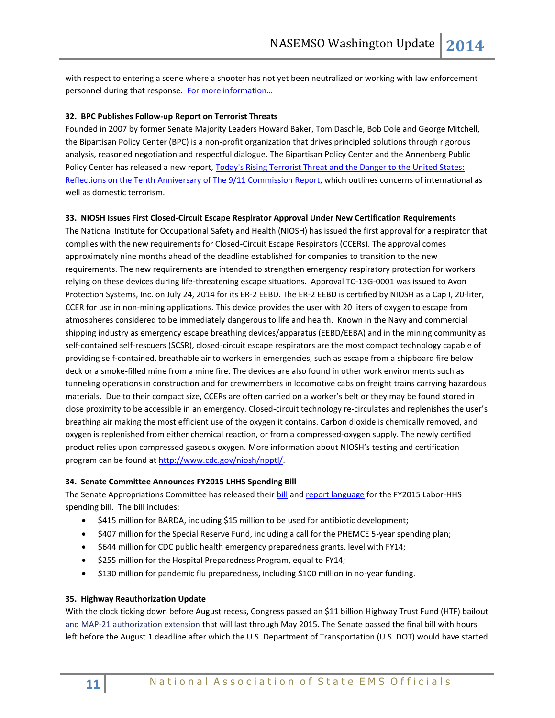with respect to entering a scene where a shooter has not yet been neutralized or working with law enforcement personnel during that response. [For more information…](http://www.bumc.bu.edu/2014/07/11/emergency-responders-more-comfortable-in-active-shootings-scenarios-after-training/)

#### **32. BPC Publishes Follow-up Report on Terrorist Threats**

Founded in 2007 by former Senate Majority Leaders Howard Baker, Tom Daschle, Bob Dole and George Mitchell, the Bipartisan Policy Center (BPC) is a non-profit organization that drives principled solutions through rigorous analysis, reasoned negotiation and respectful dialogue. The Bipartisan Policy Center and the Annenberg Public Policy Center has released a new report, Today's Rising Terrorist Threat and the Danger to the United States: [Reflections on the Tenth Anniversary of The 9/11 Commission Report,](http://bipartisanpolicy.org/library/report/rising-terrorist-threat-9-11-commission) which outlines concerns of international as well as domestic terrorism.

#### **33. NIOSH Issues First Closed-Circuit Escape Respirator Approval Under New Certification Requirements**

The National Institute for Occupational Safety and Health (NIOSH) has issued the first approval for a respirator that complies with the new requirements for Closed-Circuit Escape Respirators (CCERs). The approval comes approximately nine months ahead of the deadline established for companies to transition to the new requirements. The new requirements are intended to strengthen emergency respiratory protection for workers relying on these devices during life-threatening escape situations. Approval TC-13G-0001 was issued to Avon Protection Systems, Inc. on July 24, 2014 for its ER-2 EEBD. The ER-2 EEBD is certified by NIOSH as a Cap I, 20-liter, CCER for use in non-mining applications. This device provides the user with 20 liters of oxygen to escape from atmospheres considered to be immediately dangerous to life and health. Known in the Navy and commercial shipping industry as emergency escape breathing devices/apparatus (EEBD/EEBA) and in the mining community as self-contained self-rescuers (SCSR), closed-circuit escape respirators are the most compact technology capable of providing self-contained, breathable air to workers in emergencies, such as escape from a shipboard fire below deck or a smoke-filled mine from a mine fire. The devices are also found in other work environments such as tunneling operations in construction and for crewmembers in locomotive cabs on freight trains carrying hazardous materials. Due to their compact size, CCERs are often carried on a worker's belt or they may be found stored in close proximity to be accessible in an emergency. Closed-circuit technology re-circulates and replenishes the user's breathing air making the most efficient use of the oxygen it contains. Carbon dioxide is chemically removed, and oxygen is replenished from either chemical reaction, or from a compressed-oxygen supply. The newly certified product relies upon compressed gaseous oxygen. More information about NIOSH's testing and certification program can be found at [http://www.cdc.gov/niosh/npptl/.](http://www.cdc.gov/niosh/npptl/)

#### **34. Senate Committee Announces FY2015 LHHS Spending Bill**

The Senate Appropriations Committee has released their [bill](http://r20.rs6.net/tn.jsp?f=001Kxqv_b1iU1DS3-U1QehwP401McY7S4zgfsGCDdOYovsKMMBAXaGmGpsgcj874muiLX6zj6A_O9jxofGy6wsij5CWtQcy7EemAUnq4fQ3d7Sc5nqj-MJDAQozO8aKjZXXOUjl_f_Y6ynMuoNA7SgA5d8Hf96x-6aFlMVo3BA8hNVcDl9LN_YCDglJXxfe75uS48IqV3jaqj3qKzcgo0z6ew7R6p0foOO18n-BNhhOxcl_1mC73trAX2vuA91Jctm-&c=kgwQdxY3k1lUNsB0ASFkIKqhNbiR0D5ViKhN6YmcegM3FyWlIxdK4g==&ch=8GL8xC9FsCC-sumi6gVxCEatuH4Tha_h0tPug4y3GRpw-5eAWvWR0g==) an[d report language](http://r20.rs6.net/tn.jsp?f=001Kxqv_b1iU1DS3-U1QehwP401McY7S4zgfsGCDdOYovsKMMBAXaGmGpsgcj874muiuEFI03-6YpP_i2ffeek_dEMFXhdY1xsAszoHNQVMfZ3KR7qh94j7DezHT74jBMvzpQU2hCM4mBaS19TO5uFveZakCNJ3cbmYS51u91mbq5DuC0zd3LFnO1F1cFCMvS4XE7ObgvtuCwDQwzg3ZDmcL0l6UU3GJkNRWcfVmCfxzloYI-29Ibejf0IbOnDxv1hbxQLA6tvNoI8=&c=kgwQdxY3k1lUNsB0ASFkIKqhNbiR0D5ViKhN6YmcegM3FyWlIxdK4g==&ch=8GL8xC9FsCC-sumi6gVxCEatuH4Tha_h0tPug4y3GRpw-5eAWvWR0g==) for the FY2015 Labor-HHS spending bill. The bill includes:

- \$415 million for BARDA, including \$15 million to be used for antibiotic development;
- \$407 million for the Special Reserve Fund, including a call for the PHEMCE 5-year spending plan;
- \$644 million for CDC public health emergency preparedness grants, level with FY14;
- $\bullet$  \$255 million for the Hospital Preparedness Program, equal to FY14;
- \$130 million for pandemic flu preparedness, including \$100 million in no-year funding.

#### **35. Highway Reauthorization Update**

With the clock ticking down before August recess, Congress passed an \$11 billion Highway Trust Fund (HTF) bailout and MAP-21 authorization extension that will last through May 2015. The Senate passed the final bill with hours left before the August 1 deadline after which the U.S. Department of Transportation (U.S. DOT) would have started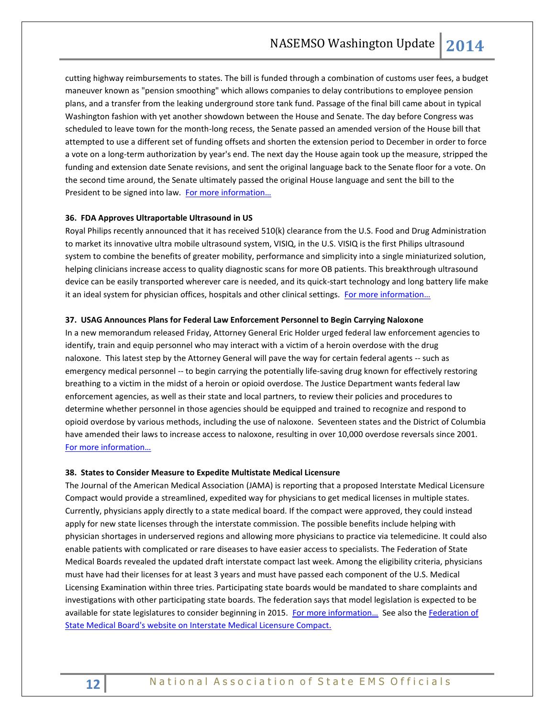cutting highway reimbursements to states. The bill is funded through a combination of customs user fees, a budget maneuver known as "pension smoothing" which allows companies to delay contributions to employee pension plans, and a transfer from the leaking underground store tank fund. Passage of the final bill came about in typical Washington fashion with yet another showdown between the House and Senate. The day before Congress was scheduled to leave town for the month-long recess, the Senate passed an amended version of the House bill that attempted to use a different set of funding offsets and shorten the extension period to December in order to force a vote on a long-term authorization by year's end. The next day the House again took up the measure, stripped the funding and extension date Senate revisions, and sent the original language back to the Senate floor for a vote. On the second time around, the Senate ultimately passed the original House language and sent the bill to the President to be signed into law. For more information...

#### **36. FDA Approves Ultraportable Ultrasound in US**

Royal Philips recently announced that it has received 510(k) clearance from the U.S. Food and Drug Administration to market its innovative ultra mobile ultrasound system, VISIQ, in the U.S. VISIQ is the first Philips ultrasound system to combine the benefits of greater mobility, performance and simplicity into a single miniaturized solution, helping clinicians increase access to quality diagnostic scans for more OB patients. This breakthrough ultrasound device can be easily transported wherever care is needed, and its quick-start technology and long battery life make it an ideal system for physician offices, hospitals and other clinical settings. For more information...

#### **37. USAG Announces Plans for Federal Law Enforcement Personnel to Begin Carrying Naloxone**

In a new memorandum released Friday, Attorney General Eric Holder urged federal law enforcement agencies to identify, train and equip personnel who may interact with a victim of a heroin overdose with the drug naloxone. This latest step by the Attorney General will pave the way for certain federal agents -- such as emergency medical personnel -- to begin carrying the potentially life-saving drug known for effectively restoring breathing to a victim in the midst of a heroin or opioid overdose. The Justice Department wants federal law enforcement agencies, as well as their state and local partners, to review their policies and procedures to determine whether personnel in those agencies should be equipped and trained to recognize and respond to opioid overdose by various methods, including the use of naloxone. Seventeen states and the District of Columbia have amended their laws to increase access to naloxone, resulting in over 10,000 overdose reversals since 2001. [For more information…](http://www.justice.gov/opa/pr/2014/July/14-ag-805.html)

#### **38. States to Consider Measure to Expedite Multistate Medical Licensure**

The Journal of the American Medical Association (JAMA) is reporting that a proposed Interstate Medical Licensure Compact would provide a streamlined, expedited way for physicians to get medical licenses in multiple states. Currently, physicians apply directly to a state medical board. If the compact were approved, they could instead apply for new state licenses through the interstate commission. The possible benefits include helping with physician shortages in underserved regions and allowing more physicians to practice via telemedicine. It could also enable patients with complicated or rare diseases to have easier access to specialists. The Federation of State Medical Boards revealed the updated draft interstate compact last week. Among the eligibility criteria, physicians must have had their licenses for at least 3 years and must have passed each component of the U.S. Medical Licensing Examination within three tries. Participating state boards would be mandated to share complaints and investigations with other participating state boards. The federation says that model legislation is expected to be available for state legislatures to consider beginning in 2015. For more information... See also the Federation of [State Medical Board's website on Interstate Medical Licensure Compact.](https://www.fsmb.org/state-medical-boards/interstate-model-compact/)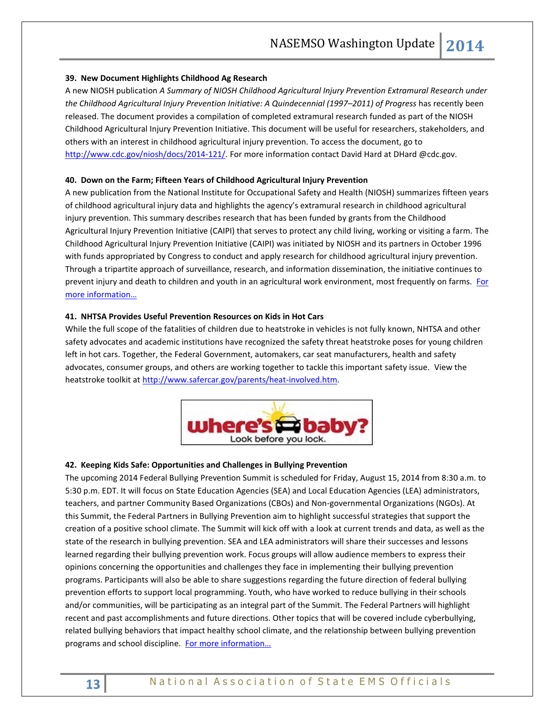## **39. New Document Highlights Childhood Ag Research**

A new NIOSH publication *A Summary of NIOSH Childhood Agricultural Injury Prevention Extramural Research under the Childhood Agricultural Injury Prevention Initiative: A Quindecennial (1997–2011) of Progress* has recently been released. The document provides a compilation of completed extramural research funded as part of the NIOSH Childhood Agricultural Injury Prevention Initiative. This document will be useful for researchers, stakeholders, and others with an interest in childhood agricultural injury prevention. To access the document, go to [http://www.cdc.gov/niosh/docs/2014-121/.](http://links.govdelivery.com/track?type=click&enid=ZWFzPTEmbWFpbGluZ2lkPTIwMTQwNjA1LjMyODI0NjgxJm1lc3NhZ2VpZD1NREItUFJELUJVTC0yMDE0MDYwNS4zMjgyNDY4MSZkYXRhYmFzZWlkPTEwMDEmc2VyaWFsPTE2ODQzOTUyJmVtYWlsaWQ9cm9iaW5zb25AbmFzZW1zby5vcmcmdXNlcmlkPXJvYmluc29uQG5hc2Vtc28ub3JnJmZsPSZleHRyYT1NdWx0aXZhcmlhdGVJZD0mJiY=&&&104&&&http://www.cdc.gov/niosh/docs/2014-121/) For more information contact David Hard at DHard @cdc.gov.

#### **40. Down on the Farm; Fifteen Years of Childhood Agricultural Injury Prevention**

A new publication from the National Institute for Occupational Safety and Health (NIOSH) summarizes fifteen years of childhood agricultural injury data and highlights the agency's extramural research in childhood agricultural injury prevention. This summary describes research that has been funded by grants from the Childhood Agricultural Injury Prevention Initiative (CAIPI) that serves to protect any child living, working or visiting a farm. The Childhood Agricultural Injury Prevention Initiative (CAIPI) was initiated by NIOSH and its partners in October 1996 with funds appropriated by Congress to conduct and apply research for childhood agricultural injury prevention. Through a tripartite approach of surveillance, research, and information dissemination, the initiative continues to prevent injury and death to children and youth in an agricultural work environment, most frequently on farms. [For](http://www.cdc.gov/niosh/updates/upd-07-01-14A.html)  [more information…](http://www.cdc.gov/niosh/updates/upd-07-01-14A.html)

#### **41. NHTSA Provides Useful Prevention Resources on Kids in Hot Cars**

While the full scope of the fatalities of children due to heatstroke in vehicles is not fully known, NHTSA and other safety advocates and academic institutions have recognized the safety threat heatstroke poses for young children left in hot cars. Together, the Federal Government, automakers, car seat manufacturers, health and safety advocates, consumer groups, and others are working together to tackle this important safety issue. View the heatstroke toolkit at [http://www.safercar.gov/parents/heat-involved.htm.](http://www.safercar.gov/parents/heat-involved.htm)



#### **42. Keeping Kids Safe: Opportunities and Challenges in Bullying Prevention**

The upcoming 2014 Federal Bullying Prevention Summit is scheduled for Friday, August 15, 2014 from 8:30 a.m. to 5:30 p.m. EDT. It will focus on State Education Agencies (SEA) and Local Education Agencies (LEA) administrators, teachers, and partner Community Based Organizations (CBOs) and Non-governmental Organizations (NGOs). At this Summit, the Federal Partners in Bullying Prevention aim to highlight successful strategies that support the creation of a positive school climate. The Summit will kick off with a look at current trends and data, as well as the state of the research in bullying prevention. SEA and LEA administrators will share their successes and lessons learned regarding their bullying prevention work. Focus groups will allow audience members to express their opinions concerning the opportunities and challenges they face in implementing their bullying prevention programs. Participants will also be able to share suggestions regarding the future direction of federal bullying prevention efforts to support local programming. Youth, who have worked to reduce bullying in their schools and/or communities, will be participating as an integral part of the Summit. The Federal Partners will highlight recent and past accomplishments and future directions. Other topics that will be covered include cyberbullying, related bullying behaviors that impact healthy school climate, and the relationship between bullying prevention programs and school discipline. For more information...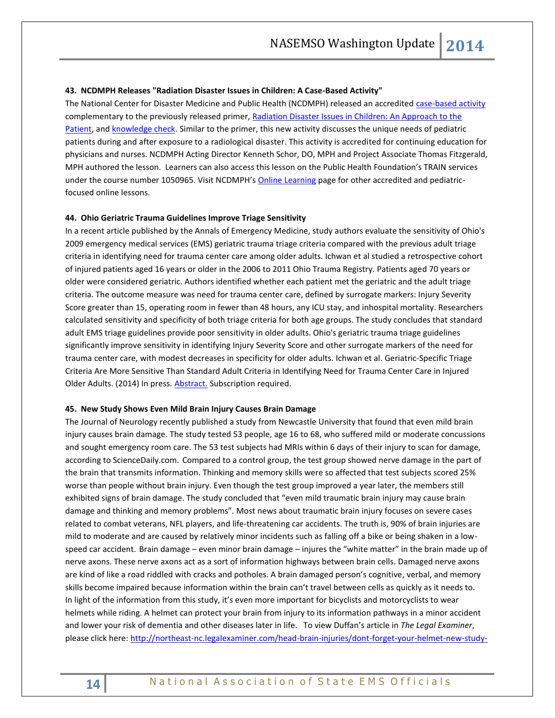#### **43. NCDMPH Releases "Radiation Disaster Issues in Children: A Case-Based Activity"**

The National Center for Disaster Medicine and Public Health (NCDMPH) released an accredited [case-based activity](http://ncdmph.usuhs.edu/KnowledgeLearning/2014-Learning3.htm) complementary to the previously released primer[, Radiation Disaster Issues in Children: An Approach to the](http://ncdmph.usuhs.edu/KnowledgeLearning/2013-Learning1.htm)  [Patient,](http://ncdmph.usuhs.edu/KnowledgeLearning/2013-Learning1.htm) an[d knowledge check.](http://ncdmph.usuhs.edu/KnowledgeLearning/Radiation/Rad-kc1.htm) Similar to the primer, this new activity discusses the unique needs of pediatric patients during and after exposure to a radiological disaster. This activity is accredited for continuing education for physicians and nurses. NCDMPH Acting Director Kenneth Schor, DO, MPH and Project Associate Thomas Fitzgerald, MPH authored the lesson. Learners can also access this lesson on the Public Health Foundation's TRAIN services under the course number 1050965. Visit NCDMPH's [Online Learning](http://ncdmph.usuhs.edu/KnowledgeLearning/OnlineLearning.htm) page for other accredited and pediatricfocused online lessons.

## **44. Ohio Geriatric Trauma Guidelines Improve Triage Sensitivity**

In a recent article published by the Annals of Emergency Medicine, study authors evaluate the sensitivity of Ohio's 2009 emergency medical services (EMS) geriatric trauma triage criteria compared with the previous adult triage criteria in identifying need for trauma center care among older adults. Ichwan et al studied a retrospective cohort of injured patients aged 16 years or older in the 2006 to 2011 Ohio Trauma Registry. Patients aged 70 years or older were considered geriatric. Authors identified whether each patient met the geriatric and the adult triage criteria. The outcome measure was need for trauma center care, defined by surrogate markers: Injury Severity Score greater than 15, operating room in fewer than 48 hours, any ICU stay, and inhospital mortality. Researchers calculated sensitivity and specificity of both triage criteria for both age groups. The study concludes that standard adult EMS triage guidelines provide poor sensitivity in older adults. Ohio's geriatric trauma triage guidelines significantly improve sensitivity in identifying Injury Severity Score and other surrogate markers of the need for trauma center care, with modest decreases in specificity for older adults. Ichwan et al. Geriatric-Specific Triage Criteria Are More Sensitive Than Standard Adult Criteria in Identifying Need for Trauma Center Care in Injured Older Adults. (2014) In press. **Abstract**. Subscription required.

#### **45. New Study Shows Even Mild Brain Injury Causes Brain Damage**

The Journal of Neurology recently published a study from Newcastle University that found that even mild brain injury causes brain damage. The study tested 53 people, age 16 to 68, who suffered mild or moderate concussions and sought emergency room care. The 53 test subjects had MRIs within 6 days of their injury to scan for damage, according to ScienceDaily.com. Compared to a control group, the test group showed nerve damage in the part of the brain that transmits information. Thinking and memory skills were so affected that test subjects scored 25% worse than people without brain injury. Even though the test group improved a year later, the members still exhibited signs of brain damage. The study concluded that "even mild traumatic brain injury may cause brain damage and thinking and memory problems". Most news about traumatic brain injury focuses on severe cases related to combat veterans, NFL players, and life-threatening car accidents. The truth is, 90% of brain injuries are mild to moderate and are caused by relatively minor incidents such as falling off a bike or being shaken in a lowspeed car accident. Brain damage – even minor brain damage – injures the "white matter" in the brain made up of nerve axons. These nerve axons act as a sort of information highways between brain cells. Damaged nerve axons are kind of like a road riddled with cracks and potholes. A brain damaged person's cognitive, verbal, and memory skills become impaired because information within the brain can't travel between cells as quickly as it needs to. In light of the information from this study, it's even more important for bicyclists and motorcyclists to wear helmets while riding. A helmet can protect your brain from injury to its information pathways in a minor accident and lower your risk of dementia and other diseases later in life. To view Duffan's article in *The Legal Examiner*, please click here: [http://northeast-nc.legalexaminer.com/head-brain-injuries/dont-forget-your-helmet-new-study-](http://northeast-nc.legalexaminer.com/head-brain-injuries/dont-forget-your-helmet-new-study-shows-even-mild-brain-injury-causes-brain-damage/)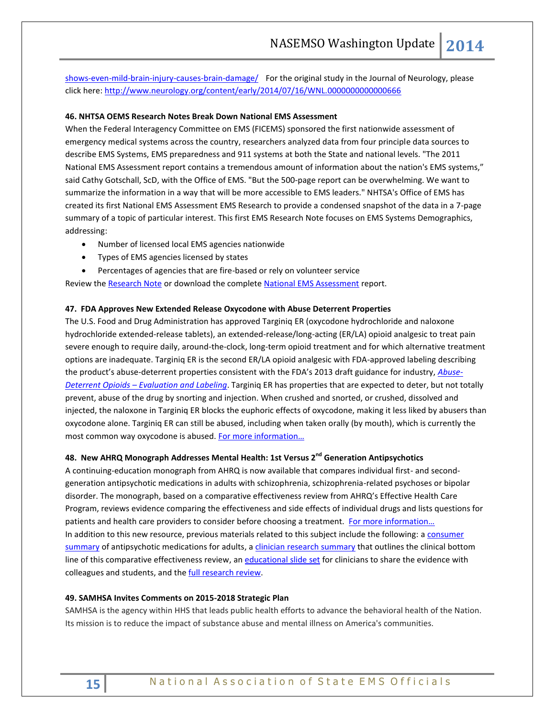[shows-even-mild-brain-injury-causes-brain-damage/](http://northeast-nc.legalexaminer.com/head-brain-injuries/dont-forget-your-helmet-new-study-shows-even-mild-brain-injury-causes-brain-damage/) For the original study in the Journal of Neurology, please click here[: http://www.neurology.org/content/early/2014/07/16/WNL.0000000000000666](http://www.neurology.org/content/early/2014/07/16/WNL.0000000000000666)

#### **46. NHTSA OEMS Research Notes Break Down National EMS Assessment**

When the Federal Interagency Committee on EMS (FICEMS) sponsored the first nationwide assessment of emergency medical systems across the country, researchers analyzed data from four principle data sources to describe EMS Systems, EMS preparedness and 911 systems at both the State and national levels. "The 2011 National EMS Assessment report contains a tremendous amount of information about the nation's EMS systems," said Cathy Gotschall, ScD, with the Office of EMS. "But the 500-page report can be overwhelming. We want to summarize the information in a way that will be more accessible to EMS leaders." NHTSA's Office of EMS has created its first National EMS Assessment EMS Research to provide a condensed snapshot of the data in a 7-page summary of a topic of particular interest. This first EMS Research Note focuses on EMS Systems Demographics, addressing:

- Number of licensed local EMS agencies nationwide
- Types of EMS agencies licensed by states
- Percentages of agencies that are fire-based or rely on volunteer service

Review th[e Research Note](http://www.ems.gov/pdf/812041-Natl_EMS_Assessment_2011.pdf) or download the complete [National EMS Assessment](http://www.ems.gov/pdf/2011/National_EMS_Assessment_Final_Draft_12202011.pdf) report.

#### **47. FDA Approves New Extended Release Oxycodone with Abuse Deterrent Properties**

The U.S. Food and Drug Administration has approved Targiniq ER (oxycodone hydrochloride and naloxone hydrochloride extended-release tablets), an extended-release/long-acting (ER/LA) opioid analgesic to treat pain severe enough to require daily, around-the-clock, long-term opioid treatment and for which alternative treatment options are inadequate. Targiniq ER is the second ER/LA opioid analgesic with FDA-approved labeling describing the product's abuse-deterrent properties consistent with the FDA's 2013 draft guidance for industry, *[Abuse-](http://www.fda.gov/downloads/Drugs/GuidanceComplianceRegulatoryInformation/Guidances/UCM334743.pdf)Deterrent Opioids – [Evaluation and Labeling](http://www.fda.gov/downloads/Drugs/GuidanceComplianceRegulatoryInformation/Guidances/UCM334743.pdf)*. Targiniq ER has properties that are expected to deter, but not totally prevent, abuse of the drug by snorting and injection. When crushed and snorted, or crushed, dissolved and injected, the naloxone in Targiniq ER blocks the euphoric effects of oxycodone, making it less liked by abusers than oxycodone alone. Targiniq ER can still be abused, including when taken orally (by mouth), which is currently the most common way oxycodone is abused. [For more information…](http://www.fda.gov/NewsEvents/Newsroom/PressAnnouncements/ucm406407.htm)

## **48. New AHRQ Monograph Addresses Mental Health: 1st Versus 2nd Generation Antipsychotics**

A continuing-education monograph from AHRQ is now available that compares individual first- and secondgeneration antipsychotic medications in adults with schizophrenia, schizophrenia-related psychoses or bipolar disorder. The monograph, based on a comparative effectiveness review from AHRQ's Effective Health Care Program, reviews evidence comparing the effectiveness and side effects of individual drugs and lists questions for patients and health care providers to consider before choosing a treatment. For more information... In addition to this new resource, previous materials related to this subject include the following: a consumer [summary](http://effectivehealthcare.ahrq.gov/search-for-guides-reviews-and-reports/?pageaction=displayproduct&productID=1458) of antipsychotic medications for adults, a [clinician research summary](http://effectivehealthcare.ahrq.gov/search-for-guides-reviews-and-reports/?pageaction=displayproduct&productID=1457) that outlines the clinical bottom line of this comparative effectiveness review, an [educational slide set](http://effectivehealthcare.ahrq.gov/search-for-guides-reviews-and-reports/?pageaction=displayproduct&productID=1651) for clinicians to share the evidence with colleagues and students, and the [full research review.](http://effectivehealthcare.ahrq.gov/search-for-guides-reviews-and-reports/?pageaction=displayproduct&productID=1054)

#### **49. SAMHSA Invites Comments on 2015-2018 Strategic Plan**

SAMHSA is the agency within HHS that leads public health efforts to advance the behavioral health of the Nation. Its mission is to reduce the impact of substance abuse and mental illness on America's communities.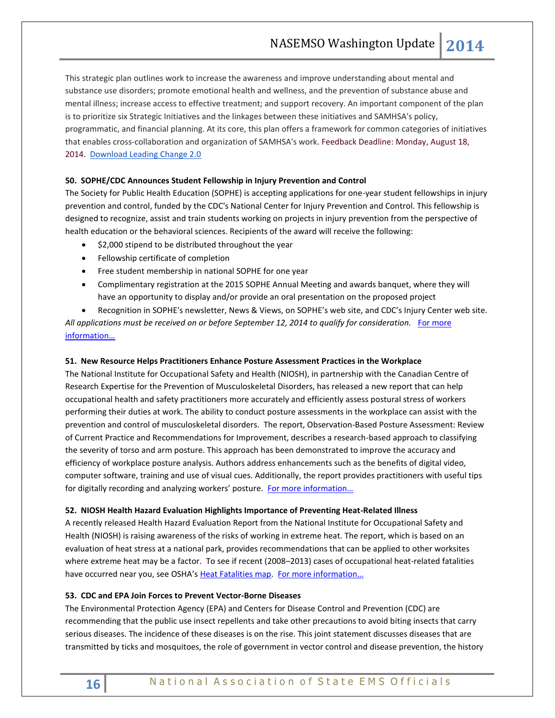This strategic plan outlines work to increase the awareness and improve understanding about mental and substance use disorders; promote emotional health and wellness, and the prevention of substance abuse and mental illness; increase access to effective treatment; and support recovery. An important component of the plan is to prioritize six Strategic Initiatives and the linkages between these initiatives and SAMHSA's policy, programmatic, and financial planning. At its core, this plan offers a framework for common categories of initiatives that enables cross-collaboration and organization of SAMHSA's work. Feedback Deadline: Monday, August 18, 2014. [Download Leading Change 2.0](http://links.govdelivery.com/track?type=click&enid=ZWFzPTEmbWFpbGluZ2lkPTIwMTQwNzI4LjM0NTI3MjIxJm1lc3NhZ2VpZD1NREItUFJELUJVTC0yMDE0MDcyOC4zNDUyNzIyMSZkYXRhYmFzZWlkPTEwMDEmc2VyaWFsPTE2OTI1NjY0JmVtYWlsaWQ9cm9iaW5zb25AbmFzZW1zby5vcmcmdXNlcmlkPXJvYmluc29uQG5hc2Vtc28ub3JnJmZsPSZleHRyYT1NdWx0aXZhcmlhdGVJZD0mJiY=&&&102&&&http://store.samhsa.gov/leadingchange/feedback/SAMHSA-Leading-Change%202-0.pdf)

## **50. SOPHE/CDC Announces Student Fellowship in Injury Prevention and Control**

The Society for Public Health Education (SOPHE) is accepting applications for one-year student fellowships in injury prevention and control, funded by the CDC's National Center for Injury Prevention and Control. This fellowship is designed to recognize, assist and train students working on projects in injury prevention from the perspective of health education or the behavioral sciences. Recipients of the award will receive the following:

- $\bullet$  \$2,000 stipend to be distributed throughout the year
- Fellowship certificate of completion
- Free student membership in national SOPHE for one year
- Complimentary registration at the 2015 SOPHE Annual Meeting and awards banquet, where they will have an opportunity to display and/or provide an oral presentation on the proposed project

 Recognition in SOPHE's newsletter, News & Views, on SOPHE's web site, and CDC's Injury Center web site. All applications must be received on or before September 12, 2014 to qualify for consideration. For more [information…](http://www.sophe.org/SOPHE_Student_Member_Awards.cfm)

#### **51. New Resource Helps Practitioners Enhance Posture Assessment Practices in the Workplace**

The National Institute for Occupational Safety and Health (NIOSH), in partnership with the Canadian Centre of Research Expertise for the Prevention of Musculoskeletal Disorders, has released a new report that can help occupational health and safety practitioners more accurately and efficiently assess postural stress of workers performing their duties at work. The ability to conduct posture assessments in the workplace can assist with the prevention and control of musculoskeletal disorders. The report, Observation-Based Posture Assessment: Review of Current Practice and Recommendations for Improvement, describes a research-based approach to classifying the severity of torso and arm posture. This approach has been demonstrated to improve the accuracy and efficiency of workplace posture analysis. Authors address enhancements such as the benefits of digital video, computer software, training and use of visual cues. Additionally, the report provides practitioners with useful tips for digitally recording and analyzing workers' posture. For more information...

#### **52. NIOSH Health Hazard Evaluation Highlights Importance of Preventing Heat-Related Illness**

A recently released Health Hazard Evaluation Report from the National Institute for Occupational Safety and Health (NIOSH) is raising awareness of the risks of working in extreme heat. The report, which is based on an evaluation of heat stress at a national park, provides recommendations that can be applied to other worksites where extreme heat may be a factor. To see if recent (2008–2013) cases of occupational heat-related fatalities have occurred near you, see OSHA's [Heat Fatalities map.](http://links.govdelivery.com/track?type=click&enid=ZWFzPTEmbWFpbGluZ2lkPTIwMTQwNzAyLjMzNjQ2OTUxJm1lc3NhZ2VpZD1NREItUFJELUJVTC0yMDE0MDcwMi4zMzY0Njk1MSZkYXRhYmFzZWlkPTEwMDEmc2VyaWFsPTE2ODU5MjMxJmVtYWlsaWQ9cm9iaW5zb25AbmFzZW1zby5vcmcmdXNlcmlkPXJvYmluc29uQG5hc2Vtc28ub3JnJmZsPSZleHRyYT1NdWx0aXZhcmlhdGVJZD0mJiY=&&&103&&&https://www.osha.gov/SLTC/heatillness/map.html) [For more information…](http://www.cdc.gov/niosh/updates/upd-07-23-2014.html)

## **53. CDC and EPA Join Forces to Prevent Vector-Borne Diseases**

The Environmental Protection Agency (EPA) and Centers for Disease Control and Prevention (CDC) are recommending that the public use insect repellents and take other precautions to avoid biting insects that carry serious diseases. The incidence of these diseases is on the rise. This joint statement discusses diseases that are transmitted by ticks and mosquitoes, the role of government in vector control and disease prevention, the history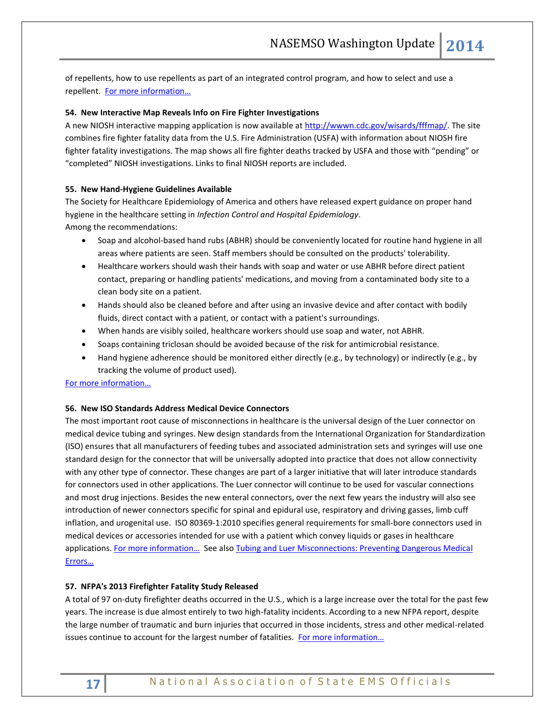of repellents, how to use repellents as part of an integrated control program, and how to select and use a repellent. [For more information…](http://www2.epa.gov/sites/production/files/2014-07/documents/joint-epa-cdc-stmnt_3.pdf)

## **54. New Interactive Map Reveals Info on Fire Fighter Investigations**

A new NIOSH interactive mapping application is now available a[t http://wwwn.cdc.gov/wisards/fffmap/.](http://links.govdelivery.com/track?type=click&enid=ZWFzPTEmbWFpbGluZ2lkPTIwMTQwNjA1LjMyODI0NjgxJm1lc3NhZ2VpZD1NREItUFJELUJVTC0yMDE0MDYwNS4zMjgyNDY4MSZkYXRhYmFzZWlkPTEwMDEmc2VyaWFsPTE2ODQzOTUyJmVtYWlsaWQ9cm9iaW5zb25AbmFzZW1zby5vcmcmdXNlcmlkPXJvYmluc29uQG5hc2Vtc28ub3JnJmZsPSZleHRyYT1NdWx0aXZhcmlhdGVJZD0mJiY=&&&105&&&http://wwwn.cdc.gov/wisards/fffmap/) The site combines fire fighter fatality data from the U.S. Fire Administration (USFA) with information about NIOSH fire fighter fatality investigations. The map shows all fire fighter deaths tracked by USFA and those with "pending" or "completed" NIOSH investigations. Links to final NIOSH reports are included.

## **55. New Hand-Hygiene Guidelines Available**

The Society for Healthcare Epidemiology of America and others have released expert guidance on proper hand hygiene in the healthcare setting in *Infection Control and Hospital Epidemiology*. Among the recommendations:

- Soap and alcohol-based hand rubs (ABHR) should be conveniently located for routine hand hygiene in all areas where patients are seen. Staff members should be consulted on the products' tolerability.
- Healthcare workers should wash their hands with soap and water or use ABHR before direct patient contact, preparing or handling patients' medications, and moving from a contaminated body site to a clean body site on a patient.
- Hands should also be cleaned before and after using an invasive device and after contact with bodily fluids, direct contact with a patient, or contact with a patient's surroundings.
- When hands are visibly soiled, healthcare workers should use soap and water, not ABHR.
- Soaps containing triclosan should be avoided because of the risk for antimicrobial resistance.
- Hand hygiene adherence should be monitored either directly (e.g., by technology) or indirectly (e.g., by tracking the volume of product used).

## [For more information…](http://www.jstor.org/stable/10.1086/677145)

## **56. New ISO Standards Address Medical Device Connectors**

The most important root cause of misconnections in healthcare is the universal design of the Luer connector on medical device tubing and syringes. New design standards from the International Organization for Standardization (ISO) ensures that all manufacturers of feeding tubes and associated administration sets and syringes will use one standard design for the connector that will be universally adopted into practice that does not allow connectivity with any other type of connector. These changes are part of a larger initiative that will later introduce standards for connectors used in other applications. The Luer connector will continue to be used for vascular connections and most drug injections. Besides the new enteral connectors, over the next few years the industry will also see introduction of newer connectors specific for spinal and epidural use, respiratory and driving gasses, limb cuff inflation, and urogenital use. ISO 80369-1:2010 specifies general requirements for small-bore connectors used in medical devices or accessories intended for use with a patient which convey liquids or gases in healthcare applications. For more information... See also Tubing and Luer Misconnections: Preventing Dangerous Medical [Errors…](http://www.fda.gov/MedicalDevices/Safety/AlertsandNotices/TubingandLuerMisconnections/default.htm)

## **57. NFPA's 2013 Firefighter Fatality Study Released**

A total of 97 on-duty firefighter deaths occurred in the U.S., which is a large increase over the total for the past few years. The increase is due almost entirely to two high-fatality incidents. According to a new NFPA report, despite the large number of traumatic and burn injuries that occurred in those incidents, stress and other medical-related issues continue to account for the largest number of fatalities. For more information...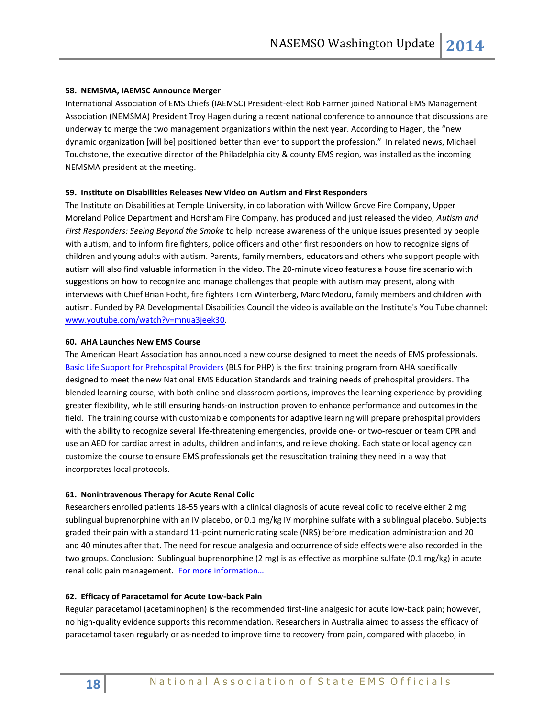#### **58. NEMSMA, IAEMSC Announce Merger**

International Association of EMS Chiefs (IAEMSC) President-elect Rob Farmer joined National EMS Management Association (NEMSMA) President Troy Hagen during a recent national conference to announce that discussions are underway to merge the two management organizations within the next year. According to Hagen, the "new dynamic organization [will be] positioned better than ever to support the profession." In related news, Michael Touchstone, the executive director of the Philadelphia city & county EMS region, was installed as the incoming NEMSMA president at the meeting.

#### **59. Institute on Disabilities Releases New Video on Autism and First Responders**

The Institute on Disabilities at Temple University, in collaboration with Willow Grove Fire Company, Upper Moreland Police Department and Horsham Fire Company, has produced and just released the video, *Autism and First Responders: Seeing Beyond the Smoke* to help increase awareness of the unique issues presented by people with autism, and to inform fire fighters, police officers and other first responders on how to recognize signs of children and young adults with autism. Parents, family members, educators and others who support people with autism will also find valuable information in the video. The 20-minute video features a house fire scenario with suggestions on how to recognize and manage challenges that people with autism may present, along with interviews with Chief Brian Focht, fire fighters Tom Winterberg, Marc Medoru, family members and children with autism. Funded by PA Developmental Disabilities Council the video is available on the Institute's You Tube channel: [www.youtube.com/watch?v=mnua3jeek30.](http://www.youtube.com/watch?v=mnua3jeek30)

#### **60. AHA Launches New EMS Course**

The American Heart Association has announced a new course designed to meet the needs of EMS professionals. [Basic Life Support for Prehospital Providers](http://www.heart.org/HEARTORG/CPRAndECC/HealthcareProviders/BasicLifeSupportBLS/BLS-for-Prehospital-Providers_UCM_459708_Article.jsp) (BLS for PHP) is the first training program from AHA specifically designed to meet the new National EMS Education Standards and training needs of prehospital providers. The blended learning course, with both online and classroom portions, improves the learning experience by providing greater flexibility, while still ensuring hands-on instruction proven to enhance performance and outcomes in the field. The training course with customizable components for adaptive learning will prepare prehospital providers with the ability to recognize several life-threatening emergencies, provide one- or two-rescuer or team CPR and use an AED for cardiac arrest in adults, children and infants, and relieve choking. Each state or local agency can customize the course to ensure EMS professionals get the resuscitation training they need in a way that incorporates local protocols.

#### **61. Nonintravenous Therapy for Acute Renal Colic**

Researchers enrolled patients 18-55 years with a clinical diagnosis of acute reveal colic to receive either 2 mg sublingual buprenorphine with an IV placebo, or 0.1 mg/kg IV morphine sulfate with a sublingual placebo. Subjects graded their pain with a standard 11-point numeric rating scale (NRS) before medication administration and 20 and 40 minutes after that. The need for rescue analgesia and occurrence of side effects were also recorded in the two groups. Conclusion: Sublingual buprenorphine (2 mg) is as effective as morphine sulfate (0.1 mg/kg) in acute renal colic pain management. [For more inf](http://www.ncbi.nlm.nih.gov/pmc/articles/PMC3892119/)ormation...

#### **62. Efficacy of Paracetamol for Acute Low-back Pain**

Regular paracetamol (acetaminophen) is the recommended first-line analgesic for acute low-back pain; however, no high-quality evidence supports this recommendation. Researchers in Australia aimed to assess the efficacy of paracetamol taken regularly or as-needed to improve time to recovery from pain, compared with placebo, in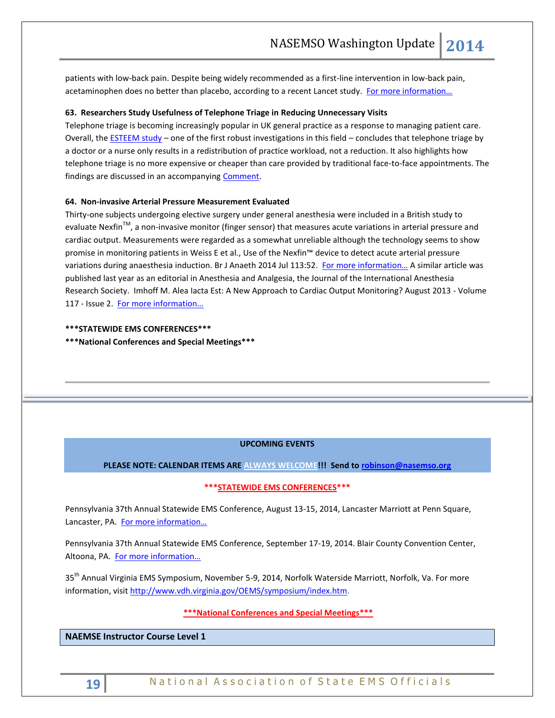patients with low-back pain. Despite being widely recommended as a first-line intervention in low-back pain, acetaminophen does no better than placebo, according to a recent Lancet study. [For more information…](http://www.thelancet.com/journals/lancet/article/PIIS0140-6736%2814%2960805-9/abstract)

#### **63. Researchers Study Usefulness of Telephone Triage in Reducing Unnecessary Visits**

Telephone triage is becoming increasingly popular in UK general practice as a response to managing patient care. Overall, th[e ESTEEM study](http://www.thelancet.com/journals/lancet/article/PIIS0140-6736%2814%2961058-8/fulltext) – one of the first robust investigations in this field – concludes that telephone triage by a doctor or a nurse only results in a redistribution of practice workload, not a reduction. It also highlights how telephone triage is no more expensive or cheaper than care provided by traditional face-to-face appointments. The findings are discussed in an accompanying [Comment.](http://www.thelancet.com/journals/lancet/article/PIIS0140-6736%2814%2961173-9/fulltext)

### **64. Non-invasive Arterial Pressure Measurement Evaluated**

Thirty-one subjects undergoing elective surgery under general anesthesia were included in a British study to evaluate Nexfin™, a non-invasive monitor (finger sensor) that measures acute variations in arterial pressure and cardiac output. Measurements were regarded as a somewhat unreliable although the technology seems to show promise in monitoring patients in Weiss E et al., Use of the Nexfin™ device to detect acute arterial pressure variations during anaesthesia induction. Br J Anaeth 2014 Jul 113:52. For more information... A similar article was published last year as an editorial in Anesthesia and Analgesia, the Journal of the International Anesthesia Research Society. Imhoff M. Alea Iacta Est: A New Approach to Cardiac Output Monitoring? August 2013 - Volume 117 - Issue 2. [For more information…](http://journals.lww.com/anesthesia-analgesia/toc/2013/08000)

## **\*\*\*STATEWIDE EMS CONFERENCES\*\*\***

**\*\*\*National Conferences and Special Meetings\*\*\***

## **UPCOMING EVENTS**

## **PLEASE NOTE: CALENDAR ITEMS ARE ALWAYS WELCOME!!! Send t[o robinson@nasemso.org](mailto:robinson@nasemso.org)**

## **\*\*\*STATEWIDE EMS CONFERENCES\*\*\***

Pennsylvania 37th Annual Statewide EMS Conference, August 13-15, 2014, Lancaster Marriott at Penn Square, Lancaster, PA. [For more information…](http://www.pehsc.org/)

Pennsylvania 37th Annual Statewide EMS Conference, September 17-19, 2014. Blair County Convention Center, Altoona, PA. For more information...

35<sup>th</sup> Annual Virginia EMS Symposium, November 5-9, 2014, Norfolk Waterside Marriott, Norfolk, Va. For more information, visit [http://www.vdh.virginia.gov/OEMS/symposium/index.htm.](http://www.vdh.virginia.gov/OEMS/symposium/index.htm)

## **\*\*\*National Conferences and Special Meetings\*\*\***

**NAEMSE Instructor Course Level 1**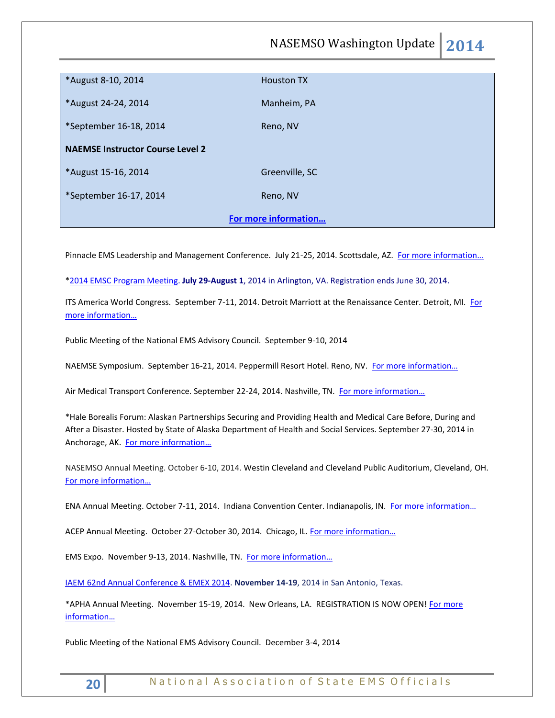NASEMSO Washington Update **2014**

| <b>Houston TX</b>    |
|----------------------|
|                      |
|                      |
| Manheim, PA          |
|                      |
| Reno, NV             |
|                      |
|                      |
| Greenville, SC       |
|                      |
| Reno, NV             |
|                      |
| For more information |
|                      |

Pinnacle EMS Leadership and Management Conference. July 21-25, 2014. Scottsdale, AZ. [For more information…](http://pinnacle-ems.com/)

[\\*2014 EMSC Program Meeting.](http://r20.rs6.net/tn.jsp?f=0017a16rEY-faAxKJOwcxlWN0Jpa__xXnyjMO4Pf_T7mIwFs3lUIQXD7S9yBXjXfV5A-trOg_oi8XzodEBYN0EXBMoS8V5Sn3JoVTZtkZ3i7JCUuhNQQhfiOs27AAD3kX9i5poaD2Ldnh5_7M1ltsssP3I-aAOokuhzZRrT8DzFptQGJ3MBorjye-ChDoBfv2erR_YELZkB_0HXaM0Rh9y1mGSTwdYjy_Z2aGcbxGYvKPLazzWGWxrpUhBxlQeWhVxq-1JIKINzqccW2dbU9QvbzyynxB0Pi7lb7qFhEyPLbMe5B1FQv-0el9XQ9lwMvwiWW6YI4swPrh36berDtsVKsnfeQct13_6z-0IunVMhmCxlWvGmzakryX4r3kzMmIgPaWHSHAzF51aSBwdpSjnm0s467aCf_zVLeK0HAIYUyTVCwh6vmkst-omkAo-HRDXDIVea76PCZ7MeEYSKNddQ9RiUTbhX_6hYOfusdxlGqLTaLcPj1-iwsDMuGcycxdWkkjUWbbsb6sQ9x9Dv7slfPw==&c=II48-dM8ZHlh_LnaSX47VE6-1dgVbuOCMhyJx5Oi3Cl7QiDNfwC0vg==&ch=r2qhFC4qt5dHUhtMfeDD8_KDaTnahtsAYkNTsQ0wL_ozbainQdNpJQ==) **July 29-August 1**, 2014 in Arlington, VA. Registration ends June 30, 2014.

ITS America World Congress. September 7-11, 2014. Detroit Marriott at the Renaissance Center. Detroit, MI. For [more information…](http://itsworldcongress.org/)

Public Meeting of the National EMS Advisory Council. September 9-10, 2014

NAEMSE Symposium. September 16-21, 2014. Peppermill Resort Hotel. Reno, NV. For more information...

Air Medical Transport Conference. September 22-24, 2014. Nashville, TN. For more information...

\*Hale Borealis Forum: Alaskan Partnerships Securing and Providing Health and Medical Care Before, During and After a Disaster. Hosted by State of Alaska Department of Health and Social Services. September 27-30, 2014 in Anchorage, AK. [For more information…](https://www.signup4.net/public/ap.aspx?EID=201P11E&OID=50)

NASEMSO Annual Meeting. October 6-10, 2014. Westin Cleveland and Cleveland Public Auditorium, Cleveland, OH. [For more information…](http://www.nasemso.org/Meetings/Annual/AnnualMeeting2014.asp)

ENA Annual Meeting. October 7-11, 2014. Indiana Convention Center. Indianapolis, IN. For more information...

ACEP Annual Meeting. October 27-October 30, 2014. Chicago, IL. For more information...

EMS Expo. November 9-13, 2014. Nashville, TN. [For more information…](http://emsworldexpo.com/)

[IAEM 62nd Annual Conference & EMEX 2014.](http://r20.rs6.net/tn.jsp?f=0017a16rEY-faAxKJOwcxlWN0Jpa__xXnyjMO4Pf_T7mIwFs3lUIQXD7ZGWHyXQVyvNTnwLThlXfS1UPKQRzF6qWPZ7VHEHLqgSDtV-qSJdKZG24eCnEWw9xpLPyJ0EY7SJl9-NsTtkMl0762iVcLqRH2ZTCfwAsnrdANYguu58E3lE3pgrzD-3l1J9cDg5Xw1DRhBnLuuT01QHd13Ru9uCItLOBJyXA6Vh&c=II48-dM8ZHlh_LnaSX47VE6-1dgVbuOCMhyJx5Oi3Cl7QiDNfwC0vg==&ch=r2qhFC4qt5dHUhtMfeDD8_KDaTnahtsAYkNTsQ0wL_ozbainQdNpJQ==) **November 14-19**, 2014 in San Antonio, Texas.

\*APHA Annual Meeting. November 15-19, 2014. New Orleans, LA. REGISTRATION IS NOW OPEN[! For more](http://www.apha.org/meetings/registration)  [information…](http://www.apha.org/meetings/registration)

Public Meeting of the National EMS Advisory Council. December 3-4, 2014